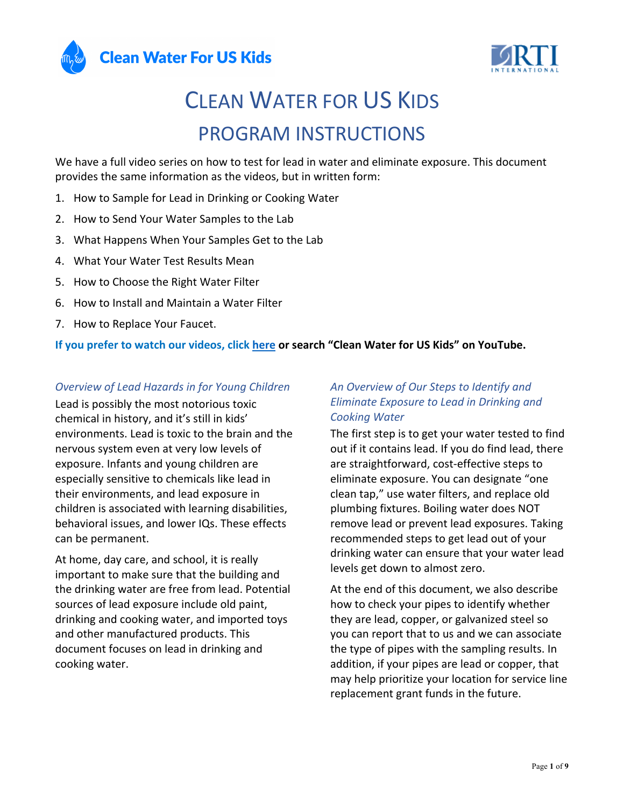



# CLEAN WATER FOR US KIDS PROGRAM INSTRUCTIONS

We have a full video series on how to test for lead in water and eliminate exposure. This document provides the same information as the videos, but in written form:

- 1. How to Sample for Lead in Drinking or Cooking Water
- 2. How to Send Your Water Samples to the Lab
- 3. What Happens When Your Samples Get to the Lab
- 4. What Your Water Test Results Mean
- 5. How to Choose the Right Water Filter
- 6. How to Install and Maintain a Water Filter
- 7. How to Replace Your Faucet.

#### **If you prefer to watch our videos, click here or search "Clean Water for US Kids" on YouTube.**

#### *Overview of Lead Hazards in for Young Children*

Lead is possibly the most notorious toxic chemical in history, and it's still in kids' environments. Lead is toxic to the brain and the nervous system even at very low levels of exposure. Infants and young children are especially sensitive to chemicals like lead in their environments, and lead exposure in children is associated with learning disabilities, behavioral issues, and lower IQs. These effects can be permanent.

At home, day care, and school, it is really important to make sure that the building and the drinking water are free from lead. Potential sources of lead exposure include old paint, drinking and cooking water, and imported toys and other manufactured products. This document focuses on lead in drinking and cooking water.

### *An Overview of Our Steps to Identify and Eliminate Exposure to Lead in Drinking and Cooking Water*

The first step is to get your water tested to find out if it contains lead. If you do find lead, there are straightforward, cost-effective steps to eliminate exposure. You can designate "one clean tap," use water filters, and replace old plumbing fixtures. Boiling water does NOT remove lead or prevent lead exposures. Taking recommended steps to get lead out of your drinking water can ensure that your water lead levels get down to almost zero.

At the end of this document, we also describe how to check your pipes to identify whether they are lead, copper, or galvanized steel so you can report that to us and we can associate the type of pipes with the sampling results. In addition, if your pipes are lead or copper, that may help prioritize your location for service line replacement grant funds in the future.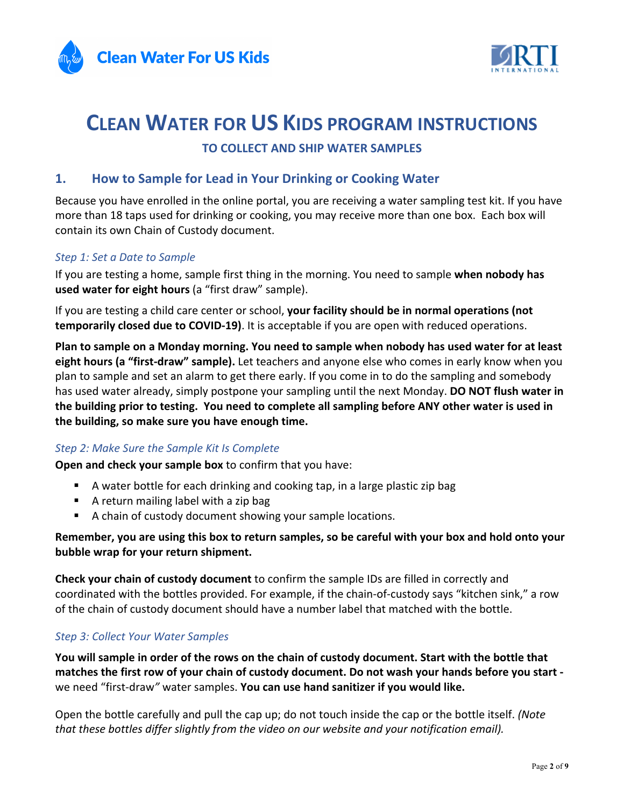



# **CLEAN WATER FOR US KIDS PROGRAM INSTRUCTIONS TO COLLECT AND SHIP WATER SAMPLES**

# **1. How to Sample for Lead in Your Drinking or Cooking Water**

Because you have enrolled in the online portal, you are receiving a water sampling test kit. If you have more than 18 taps used for drinking or cooking, you may receive more than one box. Each box will contain its own Chain of Custody document.

#### *Step 1: Set a Date to Sample*

If you are testing a home, sample first thing in the morning. You need to sample **when nobody has used water for eight hours** (a "first draw" sample).

If you are testing a child care center or school, **your facility should be in normal operations (not temporarily closed due to COVID-19)**. It is acceptable if you are open with reduced operations.

**Plan to sample on a Monday morning. You need to sample when nobody has used water for at least eight hours (a "first-draw" sample).** Let teachers and anyone else who comes in early know when you plan to sample and set an alarm to get there early. If you come in to do the sampling and somebody has used water already, simply postpone your sampling until the next Monday. **DO NOT flush water in the building prior to testing. You need to complete all sampling before ANY other water is used in the building, so make sure you have enough time.**

#### *Step 2: Make Sure the Sample Kit Is Complete*

**Open and check your sample box** to confirm that you have:

- § A water bottle for each drinking and cooking tap, in a large plastic zip bag
- A return mailing label with a zip bag
- A chain of custody document showing your sample locations.

#### **Remember, you are using this box to return samples, so be careful with your box and hold onto your bubble wrap for your return shipment.**

**Check your chain of custody document** to confirm the sample IDs are filled in correctly and coordinated with the bottles provided. For example, if the chain-of-custody says "kitchen sink," a row of the chain of custody document should have a number label that matched with the bottle.

#### *Step 3: Collect Your Water Samples*

**You will sample in order of the rows on the chain of custody document. Start with the bottle that matches the first row of your chain of custody document. Do not wash your hands before you start**  we need "first-draw*"* water samples. **You can use hand sanitizer if you would like.**

Open the bottle carefully and pull the cap up; do not touch inside the cap or the bottle itself. *(Note that these bottles differ slightly from the video on our website and your notification email).*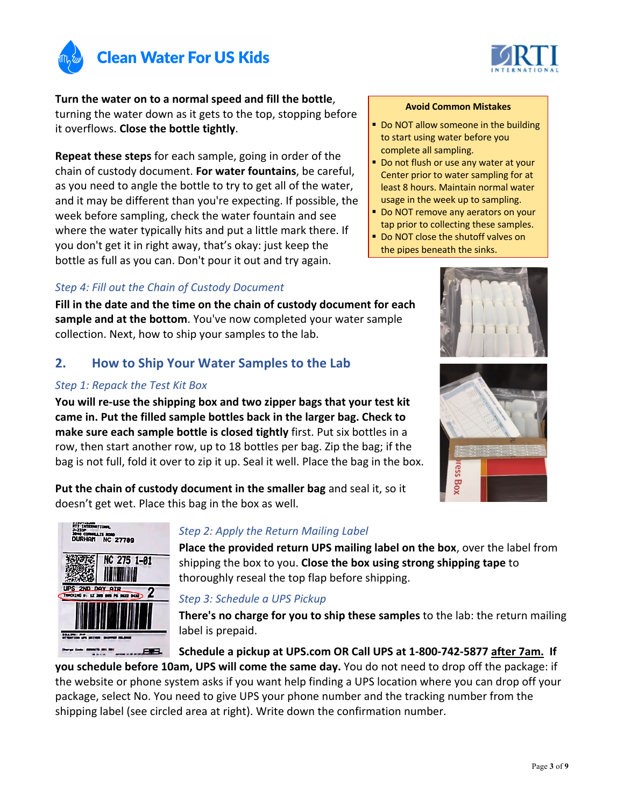



**Turn the water on to a normal speed and fill the bottle**, turning the water down as it gets to the top, stopping before it overflows. **Close the bottle tightly**.

**Repeat these steps** for each sample, going in order of the chain of custody document. **For water fountains**, be careful, as you need to angle the bottle to try to get all of the water, and it may be different than you're expecting. If possible, the week before sampling, check the water fountain and see where the water typically hits and put a little mark there. If you don't get it in right away, that's okay: just keep the bottle as full as you can. Don't pour it out and try again.

#### *Step 4: Fill out the Chain of Custody Document*

**Fill in the date and the time on the chain of custody document for each sample and at the bottom**. You've now completed your water sample collection. Next, how to ship your samples to the lab.

# **2. How to Ship Your Water Samples to the Lab**

#### *Step 1: Repack the Test Kit Box*

**You will re-use the shipping box and two zipper bags that your test kit came in. Put the filled sample bottles back in the larger bag. Check to make sure each sample bottle is closed tightly** first. Put six bottles in a row, then start another row, up to 18 bottles per bag. Zip the bag; if the bag is not full, fold it over to zip it up. Seal it well. Place the bag in the box.

**Put the chain of custody document in the smaller bag** and seal it, so it doesn't get wet. Place this bag in the box as well.



#### *Step 2: Apply the Return Mailing Label*

**Place the provided return UPS mailing label on the box**, over the label from shipping the box to you. **Close the box using strong shipping tape** to thoroughly reseal the top flap before shipping.

# *Step 3: Schedule a UPS Pickup*

**There's no charge for you to ship these samples** to the lab: the return mailing label is prepaid.

**Schedule a pickup at UPS.com OR Call UPS at 1-800-742-5877 after 7am. If** 

**you schedule before 10am, UPS will come the same day.** You do not need to drop off the package: if the website or phone system asks if you want help finding a UPS location where you can drop off your package, select No. You need to give UPS your phone number and the tracking number from the shipping label (see circled area at right). Write down the confirmation number.

#### **Avoid Common Mistakes**

- Do NOT allow someone in the building to start using water before you complete all sampling.
- Do not flush or use any water at your Center prior to water sampling for at least 8 hours. Maintain normal water usage in the week up to sampling.
- Do NOT remove any aerators on your tap prior to collecting these samples.
- Do NOT close the shutoff valves on the pipes beneath the sinks.



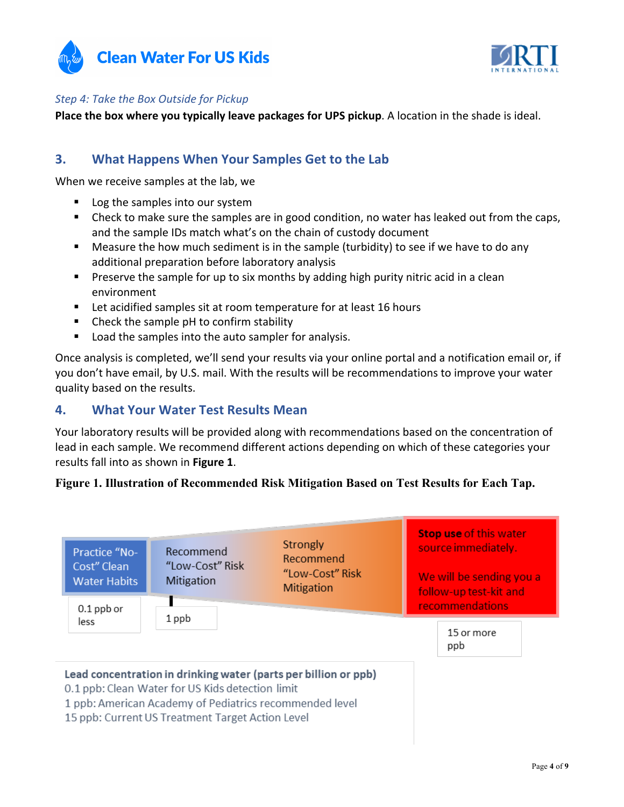



#### *Step 4: Take the Box Outside for Pickup*

**Place the box where you typically leave packages for UPS pickup**. A location in the shade is ideal.

# **3. What Happens When Your Samples Get to the Lab**

When we receive samples at the lab, we

- Log the samples into our system
- Check to make sure the samples are in good condition, no water has leaked out from the caps, and the sample IDs match what's on the chain of custody document
- Measure the how much sediment is in the sample (turbidity) to see if we have to do any additional preparation before laboratory analysis
- Preserve the sample for up to six months by adding high purity nitric acid in a clean environment
- Let acidified samples sit at room temperature for at least 16 hours
- Check the sample pH to confirm stability
- Load the samples into the auto sampler for analysis.

Once analysis is completed, we'll send your results via your online portal and a notification email or, if you don't have email, by U.S. mail. With the results will be recommendations to improve your water quality based on the results.

#### **4. What Your Water Test Results Mean**

Your laboratory results will be provided along with recommendations based on the concentration of lead in each sample. We recommend different actions depending on which of these categories your results fall into as shown in **Figure 1**.

#### **Figure 1. Illustration of Recommended Risk Mitigation Based on Test Results for Each Tap.**

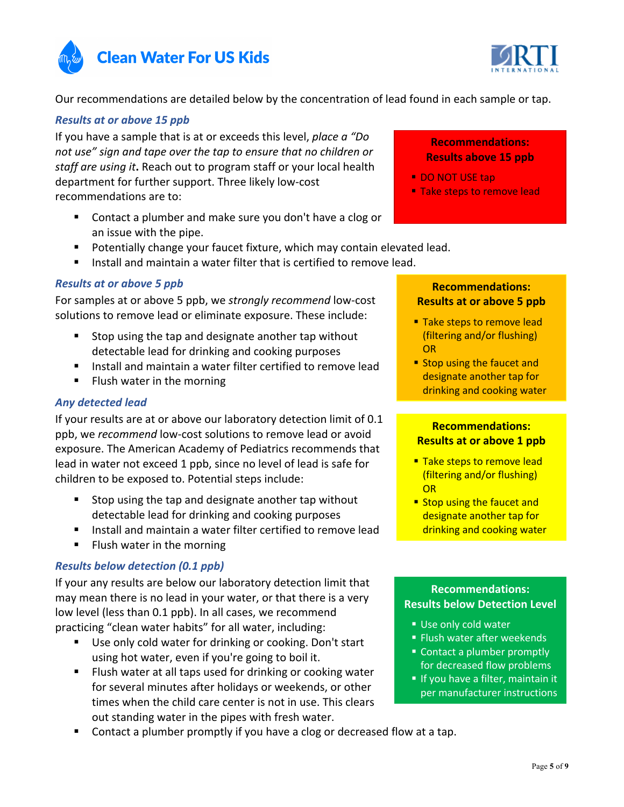



Our recommendations are detailed below by the concentration of lead found in each sample or tap.

#### *Results at or above 15 ppb*

If you have a sample that is at or exceeds this level, *place a "Do not use" sign and tape over the tap to ensure that no children or staff are using it***.** Reach out to program staff or your local health department for further support. Three likely low-cost recommendations are to:

- Contact a plumber and make sure you don't have a clog or an issue with the pipe.
- Potentially change your faucet fixture, which may contain elevated lead.
- § Install and maintain a water filter that is certified to remove lead.

#### *Results at or above 5 ppb*

For samples at or above 5 ppb, we *strongly recommend* low-cost solutions to remove lead or eliminate exposure. These include:

- § Stop using the tap and designate another tap without detectable lead for drinking and cooking purposes
- § Install and maintain a water filter certified to remove lead
- § Flush water in the morning

#### *Any detected lead*

If your results are at or above our laboratory detection limit of 0.1 ppb, we *recommend* low-cost solutions to remove lead or avoid exposure. The American Academy of Pediatrics recommends that lead in water not exceed 1 ppb, since no level of lead is safe for children to be exposed to. Potential steps include:

- § Stop using the tap and designate another tap without detectable lead for drinking and cooking purposes
- Install and maintain a water filter certified to remove lead
- Flush water in the morning

#### *Results below detection (0.1 ppb)*

If your any results are below our laboratory detection limit that may mean there is no lead in your water, or that there is a very low level (less than 0.1 ppb). In all cases, we recommend practicing "clean water habits" for all water, including:

- Use only cold water for drinking or cooking. Don't start using hot water, even if you're going to boil it.
- Flush water at all taps used for drinking or cooking water for several minutes after holidays or weekends, or other times when the child care center is not in use. This clears out standing water in the pipes with fresh water.
- § Contact a plumber promptly if you have a clog or decreased flow at a tap.

# **Recommendations: Results above 15 ppb**

- § DO NOT USE tap
- **Take steps to remove lead**

#### **Recommendations: Results at or above 5 ppb**

- Take steps to remove lead (filtering and/or flushing) OR
- Stop using the faucet and designate another tap for drinking and cooking water

#### **Recommendations: Results at or above 1 ppb**

- Take steps to remove lead (filtering and/or flushing) OR
- Stop using the faucet and designate another tap for drinking and cooking water

#### **Recommendations: Results below Detection Level**

- Use only cold water
- Flush water after weekends
- Contact a plumber promptly for decreased flow problems
- If you have a filter, maintain it per manufacturer instructions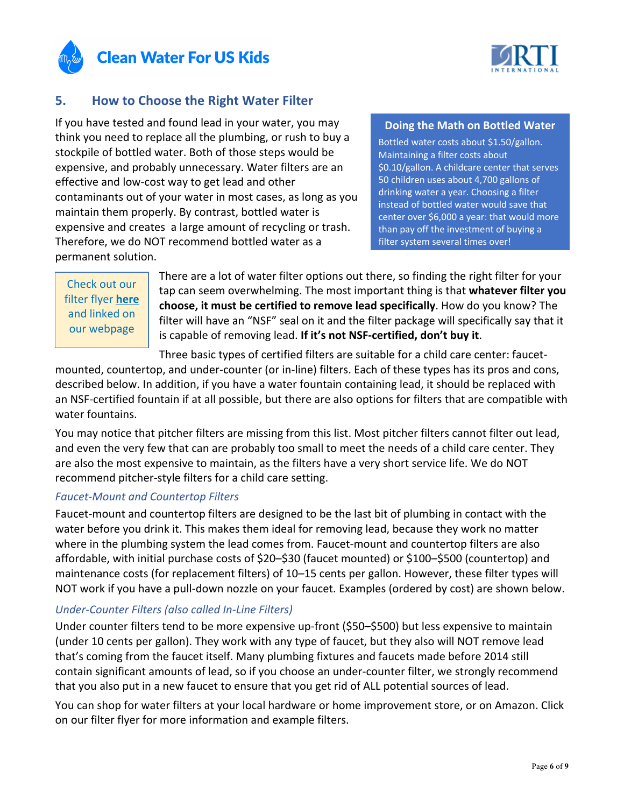



# **5. How to Choose the Right Water Filter**

If you have tested and found lead in your water, you may think you need to replace all the plumbing, or rush to buy a stockpile of bottled water. Both of those steps would be expensive, and probably unnecessary. Water filters are an effective and low-cost way to get lead and other contaminants out of your water in most cases, as long as you maintain them properly. By contrast, bottled water is expensive and creates a large amount of recycling or trash. Therefore, we do NOT recommend bottled water as a permanent solution.

#### **Doing the Math on Bottled Water**

Bottled water costs about \$1.50/gallon. Maintaining a filter costs about \$0.10/gallon. A childcare center that serves 50 children uses about 4,700 gallons of drinking water a year. Choosing a filter instead of bottled water would save that center over \$6,000 a year: that would more than pay off the investment of buying a filter system several times over!

# Check out our filter flyer **here** and linked on our webpage

There are a lot of water filter options out there, so finding the right filter for your tap can seem overwhelming. The most important thing is that **whatever filter you choose, it must be certified to remove lead specifically**. How do you know? The filter will have an "NSF" seal on it and the filter package will specifically say that it is capable of removing lead. **If it's not NSF-certified, don't buy it**.

Three basic types of certified filters are suitable for a child care center: faucet-

mounted, countertop, and under-counter (or in-line) filters. Each of these types has its pros and cons, described below. In addition, if you have a water fountain containing lead, it should be replaced with an NSF-certified fountain if at all possible, but there are also options for filters that are compatible with water fountains.

You may notice that pitcher filters are missing from this list. Most pitcher filters cannot filter out lead, and even the very few that can are probably too small to meet the needs of a child care center. They are also the most expensive to maintain, as the filters have a very short service life. We do NOT recommend pitcher-style filters for a child care setting.

#### *Faucet-Mount and Countertop Filters*

Faucet-mount and countertop filters are designed to be the last bit of plumbing in contact with the water before you drink it. This makes them ideal for removing lead, because they work no matter where in the plumbing system the lead comes from. Faucet-mount and countertop filters are also affordable, with initial purchase costs of \$20–\$30 (faucet mounted) or \$100–\$500 (countertop) and maintenance costs (for replacement filters) of 10–15 cents per gallon. However, these filter types will NOT work if you have a pull-down nozzle on your faucet. Examples (ordered by cost) are shown below.

#### *Under-Counter Filters (also called In-Line Filters)*

Under counter filters tend to be more expensive up-front (\$50–\$500) but less expensive to maintain (under 10 cents per gallon). They work with any type of faucet, but they also will NOT remove lead that's coming from the faucet itself. Many plumbing fixtures and faucets made before 2014 still contain significant amounts of lead, so if you choose an under-counter filter, we strongly recommend that you also put in a new faucet to ensure that you get rid of ALL potential sources of lead.

You can shop for water filters at your local hardware or home improvement store, or on Amazon. Click on our filter flyer for more information and example filters.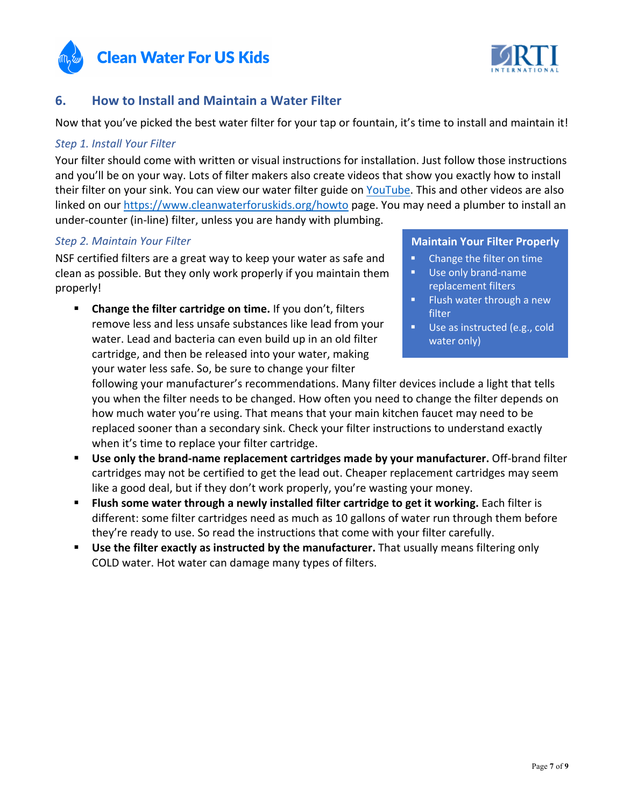



# **6. How to Install and Maintain a Water Filter**

Now that you've picked the best water filter for your tap or fountain, it's time to install and maintain it!

#### *Step 1. Install Your Filter*

Your filter should come with written or visual instructions for installation. Just follow those instructions and you'll be on your way. Lots of filter makers also create videos that show you exactly how to install their filter on your sink. You can view our water filter guide on YouTube. This and other videos are also linked on our https://www.cleanwaterforuskids.org/howto page. You may need a plumber to install an under-counter (in-line) filter, unless you are handy with plumbing.

#### *Step 2. Maintain Your Filter*

NSF certified filters are a great way to keep your water as safe and clean as possible. But they only work properly if you maintain them properly!

§ **Change the filter cartridge on time.** If you don't, filters remove less and less unsafe substances like lead from your water. Lead and bacteria can even build up in an old filter cartridge, and then be released into your water, making your water less safe. So, be sure to change your filter

#### **Maintain Your Filter Properly**

- Change the filter on time Use only brand-name
- replacement filters ■ Flush water through a new
- filter
- Use as instructed (e.g., cold water only)

following your manufacturer's recommendations. Many filter devices include a light that tells you when the filter needs to be changed. How often you need to change the filter depends on how much water you're using. That means that your main kitchen faucet may need to be replaced sooner than a secondary sink. Check your filter instructions to understand exactly when it's time to replace your filter cartridge.

- § **Use only the brand-name replacement cartridges made by your manufacturer.** Off-brand filter cartridges may not be certified to get the lead out. Cheaper replacement cartridges may seem like a good deal, but if they don't work properly, you're wasting your money.
- § **Flush some water through a newly installed filter cartridge to get it working.** Each filter is different: some filter cartridges need as much as 10 gallons of water run through them before they're ready to use. So read the instructions that come with your filter carefully.
- **Use the filter exactly as instructed by the manufacturer.** That usually means filtering only COLD water. Hot water can damage many types of filters.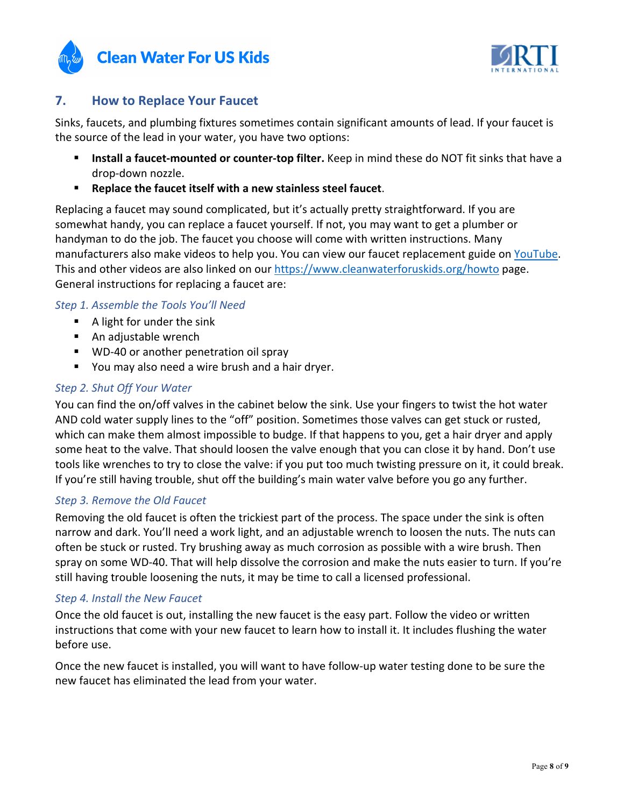



# **7. How to Replace Your Faucet**

Sinks, faucets, and plumbing fixtures sometimes contain significant amounts of lead. If your faucet is the source of the lead in your water, you have two options:

- § **Install a faucet-mounted or counter-top filter.** Keep in mind these do NOT fit sinks that have a drop-down nozzle.
- § **Replace the faucet itself with a new stainless steel faucet**.

Replacing a faucet may sound complicated, but it's actually pretty straightforward. If you are somewhat handy, you can replace a faucet yourself. If not, you may want to get a plumber or handyman to do the job. The faucet you choose will come with written instructions. Many manufacturers also make videos to help you. You can view our faucet replacement guide on YouTube. This and other videos are also linked on our https://www.cleanwaterforuskids.org/howto page. General instructions for replacing a faucet are:

#### *Step 1. Assemble the Tools You'll Need*

- $\blacksquare$  A light for under the sink
- An adjustable wrench
- WD-40 or another penetration oil spray
- You may also need a wire brush and a hair dryer.

#### *Step 2. Shut Off Your Water*

You can find the on/off valves in the cabinet below the sink. Use your fingers to twist the hot water AND cold water supply lines to the "off" position. Sometimes those valves can get stuck or rusted, which can make them almost impossible to budge. If that happens to you, get a hair dryer and apply some heat to the valve. That should loosen the valve enough that you can close it by hand. Don't use tools like wrenches to try to close the valve: if you put too much twisting pressure on it, it could break. If you're still having trouble, shut off the building's main water valve before you go any further.

#### *Step 3. Remove the Old Faucet*

Removing the old faucet is often the trickiest part of the process. The space under the sink is often narrow and dark. You'll need a work light, and an adjustable wrench to loosen the nuts. The nuts can often be stuck or rusted. Try brushing away as much corrosion as possible with a wire brush. Then spray on some WD-40. That will help dissolve the corrosion and make the nuts easier to turn. If you're still having trouble loosening the nuts, it may be time to call a licensed professional.

#### *Step 4. Install the New Faucet*

Once the old faucet is out, installing the new faucet is the easy part. Follow the video or written instructions that come with your new faucet to learn how to install it. It includes flushing the water before use.

Once the new faucet is installed, you will want to have follow-up water testing done to be sure the new faucet has eliminated the lead from your water.